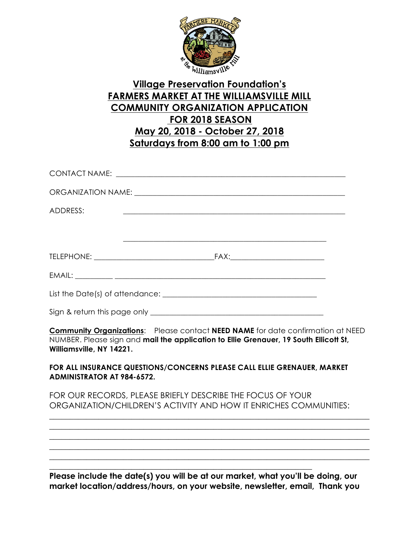

## **Village Preservation Foundation's FARMERS MARKET AT THE WILLIAMSVILLE MILL COMMUNITY ORGANIZATION APPLICATION FOR 2018 SEASON May 20, 2018 - October 27, 2018 Saturdays from 8:00 am to 1:00 pm**

| ADDRESS: | <u> 1989 - Johann Harry Harry Harry Harry Harry Harry Harry Harry Harry Harry Harry Harry Harry Harry Harry Harry H</u> |
|----------|-------------------------------------------------------------------------------------------------------------------------|
|          |                                                                                                                         |
|          |                                                                                                                         |
|          |                                                                                                                         |
|          |                                                                                                                         |
|          |                                                                                                                         |
|          |                                                                                                                         |

**Community Organizations**: Please contact **NEED NAME** for date confirmation at NEED NUMBER. Please sign and **mail the application to Ellie Grenauer, 19 South Ellicott St, Williamsville, NY 14221.**

**FOR ALL INSURANCE QUESTIONS/CONCERNS PLEASE CALL ELLIE GRENAUER, MARKET ADMINISTRATOR AT 984-6572.**

FOR OUR RECORDS, PLEASE BRIEFLY DESCRIBE THE FOCUS OF YOUR ORGANIZATION/CHILDREN'S ACTIVITY AND HOW IT ENRICHES COMMUNITIES:

\_\_\_\_\_\_\_\_\_\_\_\_\_\_\_\_\_\_\_\_\_\_\_\_\_\_\_\_\_\_\_\_\_\_\_\_\_\_\_\_\_\_\_\_\_\_\_\_\_\_\_\_\_\_\_\_\_\_\_\_\_\_\_\_\_\_\_\_\_\_\_\_\_\_\_\_\_\_ \_\_\_\_\_\_\_\_\_\_\_\_\_\_\_\_\_\_\_\_\_\_\_\_\_\_\_\_\_\_\_\_\_\_\_\_\_\_\_\_\_\_\_\_\_\_\_\_\_\_\_\_\_\_\_\_\_\_\_\_\_\_\_\_\_\_\_\_\_\_\_\_\_\_\_\_\_\_ \_\_\_\_\_\_\_\_\_\_\_\_\_\_\_\_\_\_\_\_\_\_\_\_\_\_\_\_\_\_\_\_\_\_\_\_\_\_\_\_\_\_\_\_\_\_\_\_\_\_\_\_\_\_\_\_\_\_\_\_\_\_\_\_\_\_\_\_\_\_\_\_\_\_\_\_\_\_  $\_$  , and the set of the set of the set of the set of the set of the set of the set of the set of the set of the set of the set of the set of the set of the set of the set of the set of the set of the set of the set of th  $\_$  , and the set of the set of the set of the set of the set of the set of the set of the set of the set of the set of the set of the set of the set of the set of the set of the set of the set of the set of the set of th

**Please include the date(s) you will be at our market, what you'll be doing, our market location/address/hours, on your website, newsletter, email, Thank you**

\_\_\_\_\_\_\_\_\_\_\_\_\_\_\_\_\_\_\_\_\_\_\_\_\_\_\_\_\_\_\_\_\_\_\_\_\_\_\_\_\_\_\_\_\_\_\_\_\_\_\_\_\_\_\_\_\_\_\_\_\_\_\_\_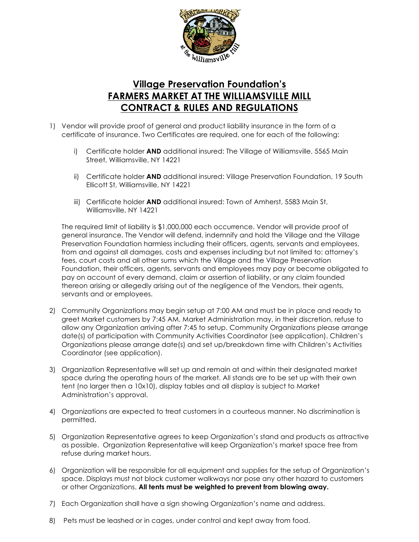

## **Village Preservation Foundation's FARMERS MARKET AT THE WILLIAMSVILLE MILL CONTRACT & RULES AND REGULATIONS**

- 1) Vendor will provide proof of general and product liability insurance in the form of a certificate of insurance. Two Certificates are required, one for each of the following:
	- i) Certificate holder **AND** additional insured: The Village of Williamsville, 5565 Main Street, Williamsville, NY 14221
	- ii) Certificate holder **AND** additional insured: Village Preservation Foundation, 19 South Ellicott St, Williamsville, NY 14221
	- iii) Certificate holder **AND** additional insured: Town of Amherst, 5583 Main St, Williamsville, NY 14221

The required limit of liability is \$1,000,000 each occurrence. Vendor will provide proof of general insurance. The Vendor will defend, indemnify and hold the Village and the Village Preservation Foundation harmless including their officers, agents, servants and employees, from and against all damages, costs and expenses including but not limited to: attorney's fees, court costs and all other sums which the Village and the Village Preservation Foundation, their officers, agents, servants and employees may pay or become obligated to pay on account of every demand, claim or assertion of liability, or any claim founded thereon arising or allegedly arising out of the negligence of the Vendors, their agents, servants and or employees.

- 2) Community Organizations may begin setup at 7:00 AM and must be in place and ready to greet Market customers by 7:45 AM. Market Administration may, in their discretion, refuse to allow any Organization arriving after 7:45 to setup. Community Organizations please arrange date(s) of participation with Community Activities Coordinator (see application). Children's Organizations please arrange date(s) and set up/breakdown time with Children's Activities Coordinator (see application).
- 3) Organization Representative will set up and remain at and within their designated market space during the operating hours of the market. All stands are to be set up with their own tent (no larger then a 10x10), display tables and all display is subject to Market Administration's approval.
- 4) Organizations are expected to treat customers in a courteous manner. No discrimination is permitted.
- 5) Organization Representative agrees to keep Organization's stand and products as attractive as possible. Organization Representative will keep Organization's market space free from refuse during market hours.
- 6) Organization will be responsible for all equipment and supplies for the setup of Organization's space. Displays must not block customer walkways nor pose any other hazard to customers or other Organizations. **All tents must be weighted to prevent from blowing away.**
- 7) Each Organization shall have a sign showing Organization's name and address.
- 8) Pets must be leashed or in cages, under control and kept away from food.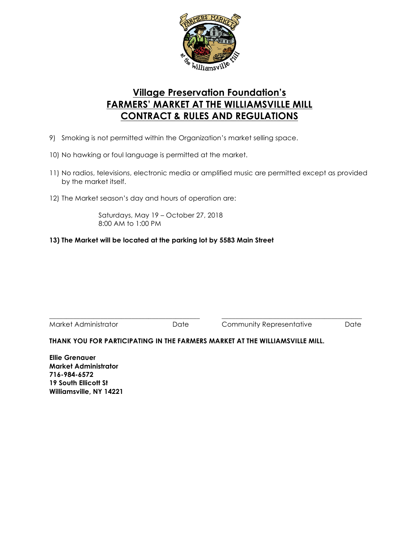

## **Village Preservation Foundation's FARMERS' MARKET AT THE WILLIAMSVILLE MILL CONTRACT & RULES AND REGULATIONS**

- 9) Smoking is not permitted within the Organization's market selling space.
- 10) No hawking or foul language is permitted at the market.
- 11) No radios, televisions, electronic media or amplified music are permitted except as provided by the market itself.
- 12) The Market season's day and hours of operation are:

Saturdays, May 19 – October 27, 2018 8:00 AM to 1:00 PM

#### **13) The Market will be located at the parking lot by 5583 Main Street**

\_\_\_\_\_\_\_\_\_\_\_\_\_\_\_\_\_\_\_\_\_\_\_\_\_\_\_\_\_\_\_\_\_\_\_\_\_\_\_\_\_\_\_\_ \_\_\_\_\_\_\_\_\_\_\_\_\_\_\_\_\_\_\_\_\_\_\_\_\_\_\_\_\_\_\_\_\_\_\_\_\_\_\_\_\_ Market Administrator **Date** Community Representative Date

### **THANK YOU FOR PARTICIPATING IN THE FARMERS MARKET AT THE WILLIAMSVILLE MILL.**

**Ellie Grenauer Market Administrator 716-984-6572 19 South Ellicott St Williamsville, NY 14221**